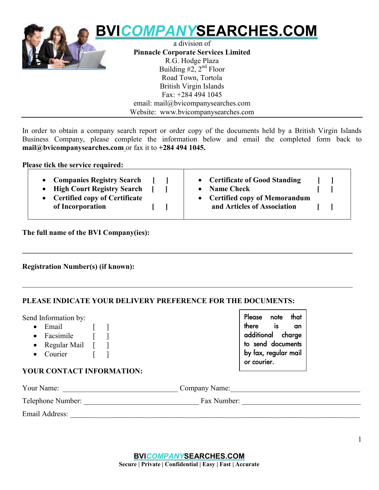

email: mail@bvicompanysearches.com Website: www.bvicompanysearches.com

In order to obtain a company search report or order copy of the documents held by a British Virgin Islands Business Company, please complete the information below and email the completed form back to **mail@bvicompanysearches.com** or fax it to **+284 494 1045.**

**Please tick the service required:**

| <b>Companies Registry Search</b>     | • Certificate of Good Standing |
|--------------------------------------|--------------------------------|
| <b>High Court Registry Search</b>    | <b>Name Check</b>              |
| <b>Certified copy of Certificate</b> | • Certified copy of Memorandum |
| of Incorporation                     | and Articles of Association    |

**\_\_\_\_\_\_\_\_\_\_\_\_\_\_\_\_\_\_\_\_\_\_\_\_\_\_\_\_\_\_\_\_\_\_\_\_\_\_\_\_\_\_\_\_\_\_\_\_\_\_\_\_\_\_\_\_\_\_\_\_\_\_\_\_\_\_\_\_\_\_\_\_\_\_\_\_\_\_\_\_\_\_\_\_\_\_\_\_\_**

\_\_\_\_\_\_\_\_\_\_\_\_\_\_\_\_\_\_\_\_\_\_\_\_\_\_\_\_\_\_\_\_\_\_\_\_\_\_\_\_\_\_\_\_\_\_\_\_\_\_\_\_\_\_\_\_\_\_\_\_\_\_\_\_\_\_\_\_\_\_\_\_\_\_\_\_\_\_\_\_\_\_\_\_\_\_\_\_\_

**The full name of the BVI Company(ies):**

## **Registration Number(s) (if known):**

## **PLEASE INDICATE YOUR DELIVERY PREFERENCE FOR THE DOCUMENTS:**

Send Information by:

- $\bullet$  Email  $\qquad \qquad$  [ ]
- Facsimile [ ]
- Regular Mail [ ]
- Courier [ ]

**Please note that there is an additional charge to send documents by fax, regular mail or courier.**

## **YOUR CONTACT INFORMATION:**

| Your Name:        | Company Name: |  |
|-------------------|---------------|--|
| Telephone Number: | Fax Number:   |  |

Email Address: